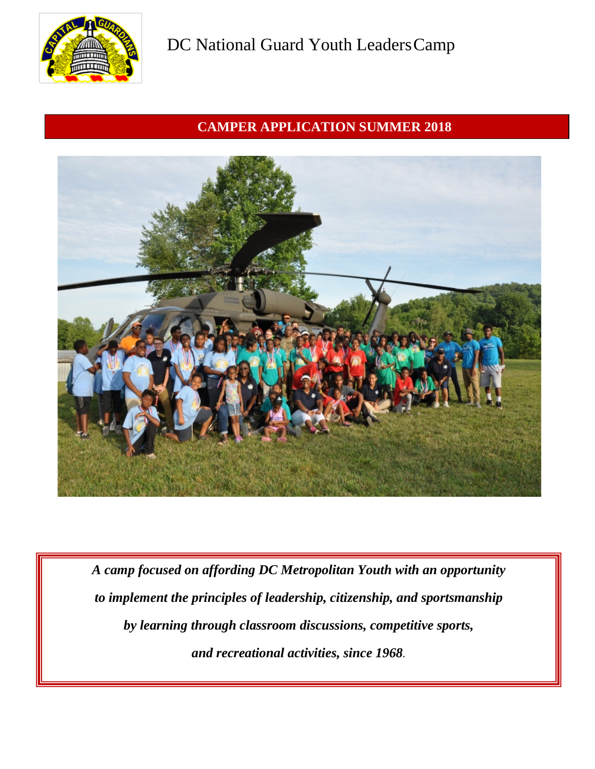

## **CAMPER APPLICATION SUMMER 2018**



*A camp focused on affording DC Metropolitan Youth with an opportunity to implement the principles of leadership, citizenship, and sportsmanship by learning through classroom discussions, competitive sports, and recreational activities, since 1968.*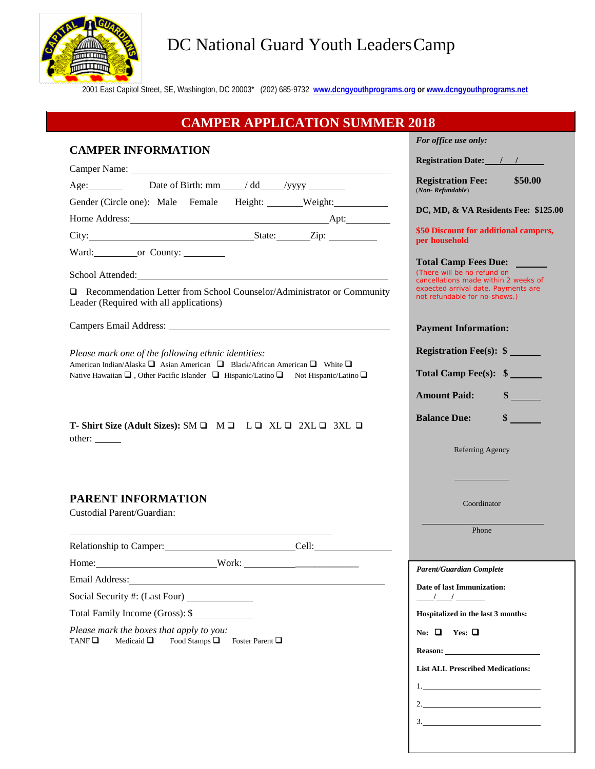

## DC National Guard Youth Leaders Camp

2001 East Capitol Street, SE, Washington, DC 20003\* (202) 685-9732 **[www.dcngyouthprograms.org](http://www.dcngyouthprograms.org/) or www.dcngyouthprograms.net**

#### **CAMPER APPLICATION SUMMER 2018 CAMPER INFORMATION** Camper Name: Age: Date of Birth:  $mm$  / dd /yyyy  $\qquad$ Gender (Circle one): Male Female Height: Weight: Home Address: Apt: City: State: Zip: Ward: or County: School Attended: Recommendation Letter from School Counselor/Administrator or Community Leader (Required with all applications) Campers Email Address: *Please mark one of the following ethnic identities:* American Indian/Alaska  $\square$  Asian American  $\square$  Black/African American  $\square$  White  $\square$ Native Hawaiian  $\Box$ , Other Pacific Islander  $\Box$  Hispanic/Latino  $\Box$  Not Hispanic/Latino  $\Box$ **T-** Shirt Size (Adult Sizes):  $SM \square$   $M \square$   $L \square$   $XL \square$   $2XL \square$   $3XL \square$ other: **PARENT INFORMATION** Custodial Parent/Guardian: Relationship to Camper: Cell: Home: Work: \_\_\_\_\_\_\_\_\_\_\_\_\_ Email Address: Social Security #: (Last Four) Total Family Income (Gross): \$ *Please mark the boxes that apply to you:* TANF  $\Box$  Medicaid  $\Box$  Food Stamps  $\Box$  Foster Parent  $\Box$ *For office use only:* **Registration Date: / / Registration Fee: \$50.00** (*Non- Refundable*) **DC, MD, & VA Residents Fee: \$125.00 \$50 Discount for additional campers, per household Total Camp Fees Due:**  *(There will be no refund on cancellations made within 2 weeks of expected arrival date. Payments are not refundable for no-shows.)* **Payment Information: Registration Fee(s): \$ Total Camp Fee(s): \$ Amount Paid: \$ Balance Due: \$** Referring Agency  $\frac{1}{2}$  ,  $\frac{1}{2}$  ,  $\frac{1}{2}$  ,  $\frac{1}{2}$  ,  $\frac{1}{2}$  ,  $\frac{1}{2}$  ,  $\frac{1}{2}$ Coordinator Phone *Parent/Guardian Complete* **Date of last Immunization: / / Hospitalized in the last 3 months:** No:  $\Box$  **Yes:**  $\Box$ **Reason: List ALL Prescribed Medications:**

1.

2.

3.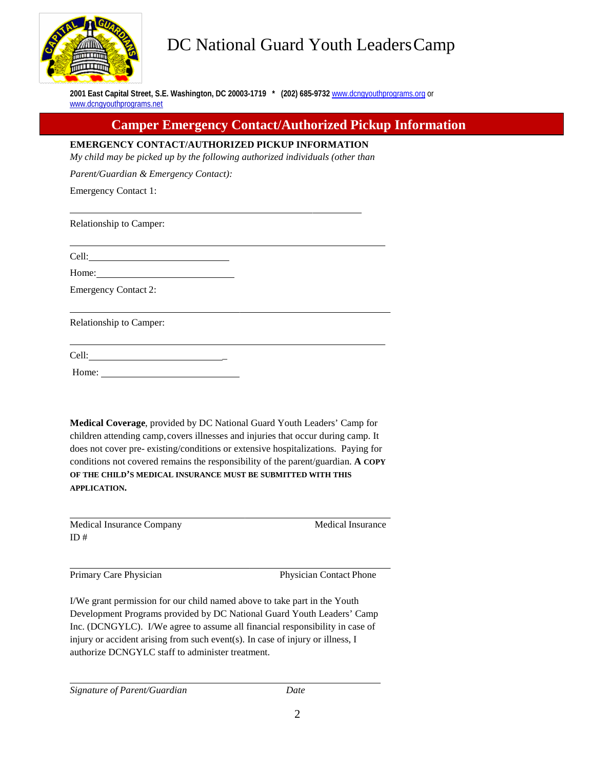

# DC National Guard Youth LeadersCamp

**2001 East Capital Street, S.E. Washington, DC 20003-1719 \* (202) 685-9732** [www.dcngyouthprograms.org](http://www.dcngyouthprograms.org/) or www.dcngyouthprograms.net

## **Camper Emergency Contact/Authorized Pickup Information**

**EMERGENCY CONTACT/AUTHORIZED PICKUP INFORMATION**

*My child may be picked up by the following authorized individuals (other than* 

*Parent/Guardian & Emergency Contact):*

Emergency Contact 1:

Relationship to Camper:

Cell:

Home:

Emergency Contact 2:

Relationship to Camper:

Cell: \_

Home:

**Medical Coverage**, provided by DC National Guard Youth Leaders' Camp for children attending camp, covers illnesses and injuries that occur during camp. It does not cover pre- existing/conditions or extensive hospitalizations. Paying for conditions not covered remains the responsibility of the parent/guardian. **A COPY OF THE CHILD'S MEDICAL INSURANCE MUST BE SUBMITTED WITH THIS APPLICATION.**

| Medical Insurance Company | Medical Insurance |
|---------------------------|-------------------|
| ID#                       |                   |

Primary Care Physician **Physician Physician Contact Phone** 

I/We grant permission for our child named above to take part in the Youth Development Programs provided by DC National Guard Youth Leaders' Camp Inc. (DCNGYLC). I/We agree to assume all financial responsibility in case of injury or accident arising from such event(s). In case of injury or illness, I authorize DCNGYLC staff to administer treatment.

*Signature of Parent/Guardian Date*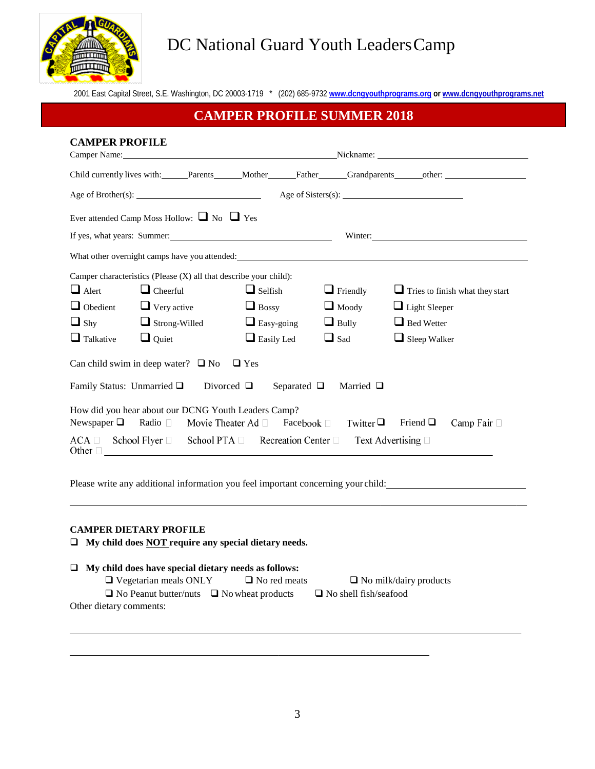

# DC National Guard Youth Leaders Camp

2001 East Capital Street, S.E. Washington, DC 20003-1719 \* (202) 685-9732 **[www.dcngyouthprograms.org](http://www.dcngyouthprograms.org/) or www.dcngyouthprograms.net**

## **CAMPER PROFILE SUMMER 2018**

| <b>CAMPER PROFILE</b>                                             |                                                                                                                                                                                                                                |                 |                                                                                      |                 |                                                                                                                                                                                                                               |
|-------------------------------------------------------------------|--------------------------------------------------------------------------------------------------------------------------------------------------------------------------------------------------------------------------------|-----------------|--------------------------------------------------------------------------------------|-----------------|-------------------------------------------------------------------------------------------------------------------------------------------------------------------------------------------------------------------------------|
|                                                                   | Camper Name: Nickname: Nickname: Nickname: Nickname: Nickname: Nickname: Nickname: Nickname: Nickname: Nickname: Nickname: Nickname: Nickname: Nickname: Nickname: Nickname: Nickname: Nickname: Nickname: Nickname: Nickname: |                 |                                                                                      |                 |                                                                                                                                                                                                                               |
|                                                                   |                                                                                                                                                                                                                                |                 |                                                                                      |                 | Child currently lives with: Parents Mother Father Grandparents other:                                                                                                                                                         |
|                                                                   |                                                                                                                                                                                                                                |                 |                                                                                      |                 |                                                                                                                                                                                                                               |
| Ever attended Camp Moss Hollow: $\Box$ No $\Box$ Yes              |                                                                                                                                                                                                                                |                 |                                                                                      |                 |                                                                                                                                                                                                                               |
|                                                                   |                                                                                                                                                                                                                                |                 | If yes, what years: Summer:                                                          |                 | Winter:                                                                                                                                                                                                                       |
|                                                                   |                                                                                                                                                                                                                                |                 |                                                                                      |                 | What other overnight camps have you attended: Universe and American control of the state of the state of the state of the state of the state of the state of the state of the state of the state of the state of the state of |
| Camper characteristics (Please (X) all that describe your child): |                                                                                                                                                                                                                                |                 |                                                                                      |                 |                                                                                                                                                                                                                               |
| $\Box$ Alert                                                      | $\Box$ Cheerful                                                                                                                                                                                                                |                 | $\Box$ Selfish                                                                       | $\Box$ Friendly | $\Box$ Tries to finish what they start                                                                                                                                                                                        |
| $\Box$ Obedient                                                   | $\Box$ Very active                                                                                                                                                                                                             |                 | $\Box$ Bossy                                                                         | $\Box$ Moody    | $\Box$ Light Sleeper                                                                                                                                                                                                          |
| $\Box$ Shy                                                        | $\Box$ Strong-Willed                                                                                                                                                                                                           |                 | $\Box$ Easy-going                                                                    | $\Box$ Bully    | $\Box$ Bed Wetter                                                                                                                                                                                                             |
| $\Box$ Talkative                                                  | $\Box$ Quiet                                                                                                                                                                                                                   |                 | $\Box$ Easily Led                                                                    | $\Box$ Sad      | $\Box$ Sleep Walker                                                                                                                                                                                                           |
| Can child swim in deep water? $\Box$ No $\Box$ Yes                |                                                                                                                                                                                                                                |                 |                                                                                      |                 |                                                                                                                                                                                                                               |
| Family Status: Unmarried $\Box$                                   |                                                                                                                                                                                                                                | Divorced $\Box$ | Separated $\Box$                                                                     | Married $\Box$  |                                                                                                                                                                                                                               |
| How did you hear about our DCNG Youth Leaders Camp?               |                                                                                                                                                                                                                                |                 |                                                                                      |                 |                                                                                                                                                                                                                               |
|                                                                   |                                                                                                                                                                                                                                |                 | Newspaper $\Box$ Radio $\Box$ Movie Theater Ad $\Box$ Facebook $\Box$ Twitter $\Box$ |                 | Friend $\Box$<br>Camp Fair $\Box$                                                                                                                                                                                             |
| Other $\Box$                                                      |                                                                                                                                                                                                                                |                 | ACA □ School Flyer □ School PTA □ Recreation Center □                                |                 | Text Advertising $\Box$                                                                                                                                                                                                       |

Please write any additional information you feel important concerning your child:

#### **CAMPER DIETARY PROFILE**

**My child does NOT require any special dietary needs.**

### **My child does have special dietary needs as follows:**  $\Box$  Vegetarian meals ONLY  $\Box$  No red meats  $\Box$  No milk/dairy products  $\Box$  No Peanut butter/nuts  $\Box$  No wheat products  $\Box$  No shell fish/seafood Other dietary comments: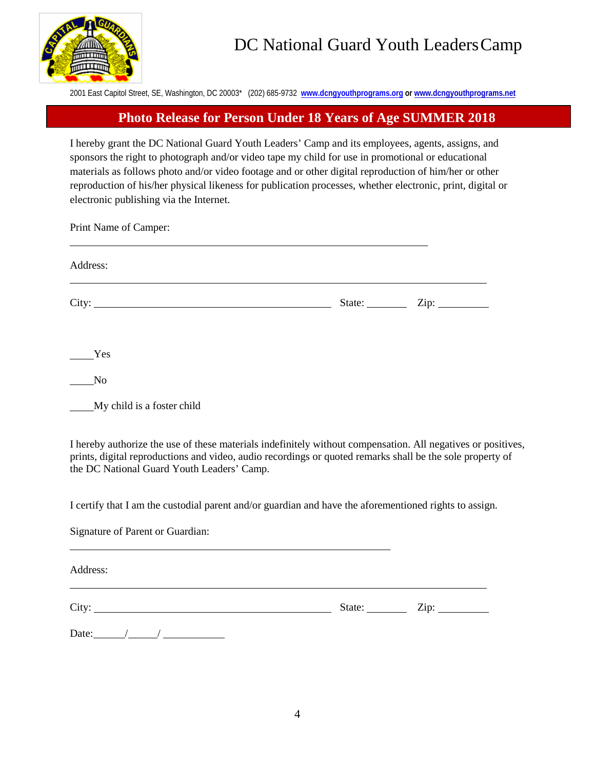

2001 East Capitol Street, SE, Washington, DC 20003\* (202) 685-9732 **[www.dcngyouthprograms.org](http://www.dcngyouthprograms.org/) or www.dcngyouthprograms.net**

#### **Photo Release for Person Under 18 Years of Age SUMMER 2018**

I hereby grant the DC National Guard Youth Leaders' Camp and its employees, agents, assigns, and sponsors the right to photograph and/or video tape my child for use in promotional or educational materials as follows photo and/or video footage and or other digital reproduction of him/her or other reproduction of his/her physical likeness for publication processes, whether electronic, print, digital or electronic publishing via the Internet.

Print Name of Camper:

| Address:                   |                                         |  |  |  |  |
|----------------------------|-----------------------------------------|--|--|--|--|
|                            | State: $\_\_\_\_\_\_\_\_\_\_\_\_\_\_\_$ |  |  |  |  |
| Yes                        |                                         |  |  |  |  |
| No                         |                                         |  |  |  |  |
| My child is a foster child |                                         |  |  |  |  |

I hereby authorize the use of these materials indefinitely without compensation. All negatives or positives, prints, digital reproductions and video, audio recordings or quoted remarks shall be the sole property of the DC National Guard Youth Leaders' Camp.

I certify that I am the custodial parent and/or guardian and have the aforementioned rights to assign.

Signature of Parent or Guardian:

Address:

City: State: Zip:

Date:  $/$  /  $/$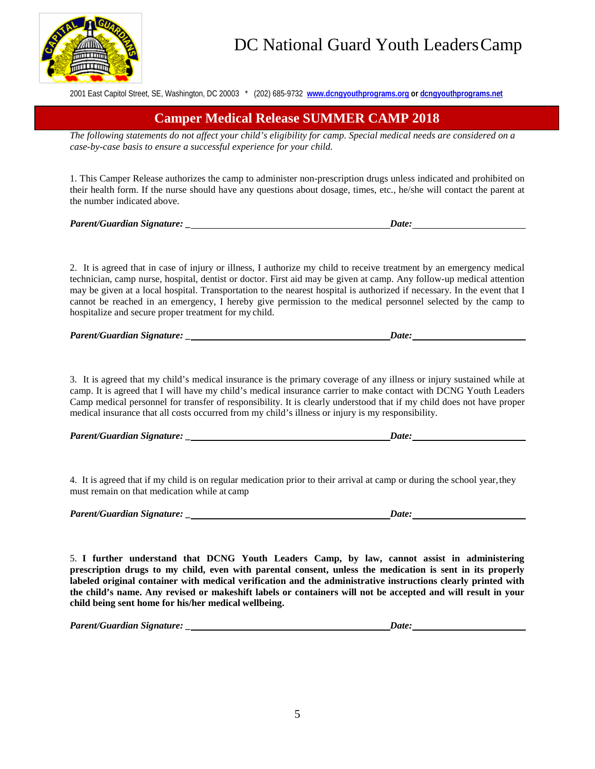

2001 East Capitol Street, SE, Washington, DC 20003 \* (202) 685-9732 **[www.dcngyouthprograms.org](http://www.dcngyouthprograms.org/) or dcngyouthprograms.net**

### **Camper Medical Release SUMMER CAMP 2018**

*The following statements do not affect your child's eligibility for camp. Special medical needs are considered on a case-by-case basis to ensure a successful experience for your child.*

1. This Camper Release authorizes the camp to administer non-prescription drugs unless indicated and prohibited on their health form. If the nurse should have any questions about dosage, times, etc., he/she will contact the parent at the number indicated above.

*Parent/Guardian Signature: \_ Date:*

2. It is agreed that in case of injury or illness, I authorize my child to receive treatment by an emergency medical technician, camp nurse, hospital, dentist or doctor. First aid may be given at camp. Any follow-up medical attention may be given at a local hospital. Transportation to the nearest hospital is authorized if necessary. In the event that I cannot be reached in an emergency, I hereby give permission to the medical personnel selected by the camp to hospitalize and secure proper treatment for my child.

*Parent/Guardian Signature: \_ Date:*

3. It is agreed that my child's medical insurance is the primary coverage of any illness or injury sustained while at camp. It is agreed that I will have my child's medical insurance carrier to make contact with DCNG Youth Leaders Camp medical personnel for transfer of responsibility. It is clearly understood that if my child does not have proper medical insurance that all costs occurred from my child's illness or injury is my responsibility.

*Parent/Guardian Signature: \_ Date:*

4. It is agreed that if my child is on regular medication prior to their arrival at camp or during the school year, they must remain on that medication while at camp

*Parent/Guardian Signature: \_ Date:*

5. **I further understand that DCNG Youth Leaders Camp, by law, cannot assist in administering prescription drugs to my child, even with parental consent, unless the medication is sent in its properly labeled original container with medical verification and the administrative instructions clearly printed with the child's name. Any revised or makeshift labels or containers will not be accepted and will result in your child being sent home for his/her medical wellbeing.**

*Parent/Guardian Signature: \_ Date:*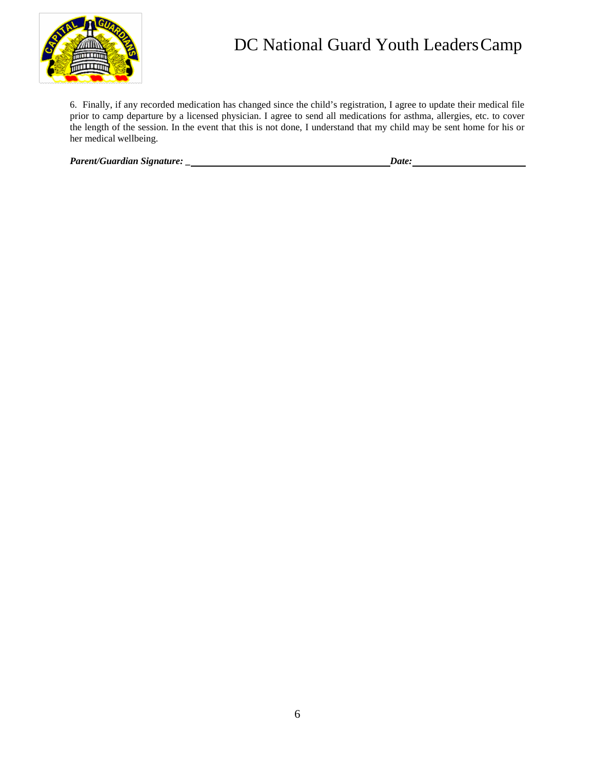

## DC National Guard Youth Leaders Camp

6. Finally, if any recorded medication has changed since the child's registration, I agree to update their medical file prior to camp departure by a licensed physician. I agree to send all medications for asthma, allergies, etc. to cover the length of the session. In the event that this is not done, I understand that my child may be sent home for his or her medical wellbeing.

*Parent/Guardian Signature: \_ Date:*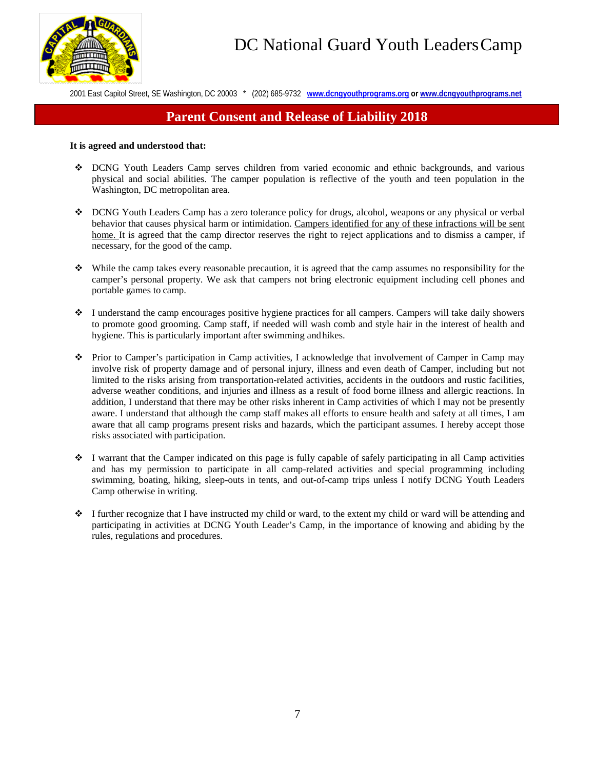

2001 East Capitol Street, SE Washington, DC 20003 \* (202) 685-9732 **[www.dcngyouthprograms.org](http://www.dcngyouthprograms.org/) or www.dcngyouthprograms.net**

## **Parent Consent and Release of Liability 2018**

#### **It is agreed and understood that:**

- DCNG Youth Leaders Camp serves children from varied economic and ethnic backgrounds, and various physical and social abilities. The camper population is reflective of the youth and teen population in the Washington, DC metropolitan area.
- DCNG Youth Leaders Camp has a zero tolerance policy for drugs, alcohol, weapons or any physical or verbal behavior that causes physical harm or intimidation. Campers identified for any of these infractions will be sent home. It is agreed that the camp director reserves the right to reject applications and to dismiss a camper, if necessary, for the good of the camp.
- While the camp takes every reasonable precaution, it is agreed that the camp assumes no responsibility for the camper's personal property. We ask that campers not bring electronic equipment including cell phones and portable games to camp.
- $\bullet$  I understand the camp encourages positive hygiene practices for all campers. Campers will take daily showers to promote good grooming. Camp staff, if needed will wash comb and style hair in the interest of health and hygiene. This is particularly important after swimming and hikes.
- Prior to Camper's participation in Camp activities, I acknowledge that involvement of Camper in Camp may involve risk of property damage and of personal injury, illness and even death of Camper, including but not limited to the risks arising from transportation-related activities, accidents in the outdoors and rustic facilities, adverse weather conditions, and injuries and illness as a result of food borne illness and allergic reactions. In addition, I understand that there may be other risks inherent in Camp activities of which I may not be presently aware. I understand that although the camp staff makes all efforts to ensure health and safety at all times, I am aware that all camp programs present risks and hazards, which the participant assumes. I hereby accept those risks associated with participation.
- $\bullet$  I warrant that the Camper indicated on this page is fully capable of safely participating in all Camp activities and has my permission to participate in all camp-related activities and special programming including swimming, boating, hiking, sleep-outs in tents, and out-of-camp trips unless I notify DCNG Youth Leaders Camp otherwise in writing.
- $\bullet$  I further recognize that I have instructed my child or ward, to the extent my child or ward will be attending and participating in activities at DCNG Youth Leader's Camp, in the importance of knowing and abiding by the rules, regulations and procedures.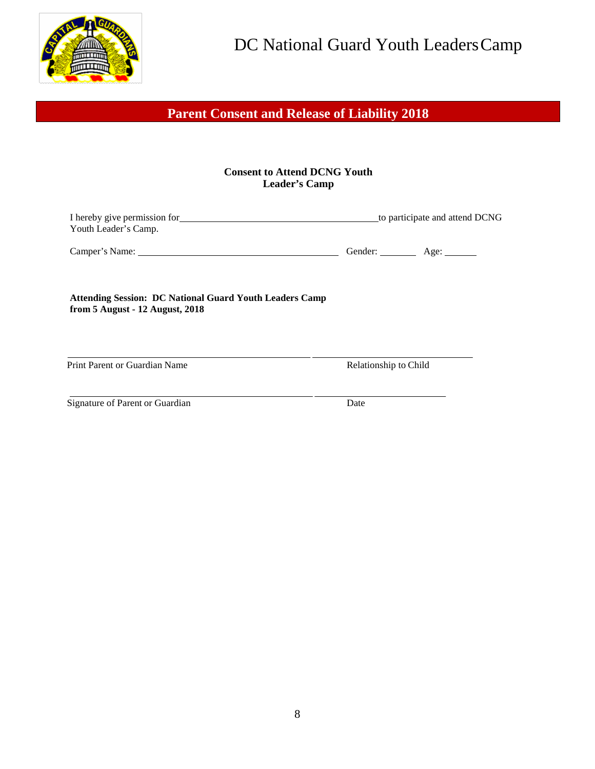

## **Parent Consent and Release of Liability 2018**

#### **Consent to Attend DCNG Youth Leader's Camp**

| I hereby give permission for<br>Youth Leader's Camp.                                              |                       | to participate and attend DCNG |
|---------------------------------------------------------------------------------------------------|-----------------------|--------------------------------|
|                                                                                                   | Gender: <u>Age:</u>   |                                |
| <b>Attending Session: DC National Guard Youth Leaders Camp</b><br>from 5 August - 12 August, 2018 |                       |                                |
| Print Parent or Guardian Name                                                                     | Relationship to Child |                                |
| Signature of Parent or Guardian                                                                   | Date                  |                                |